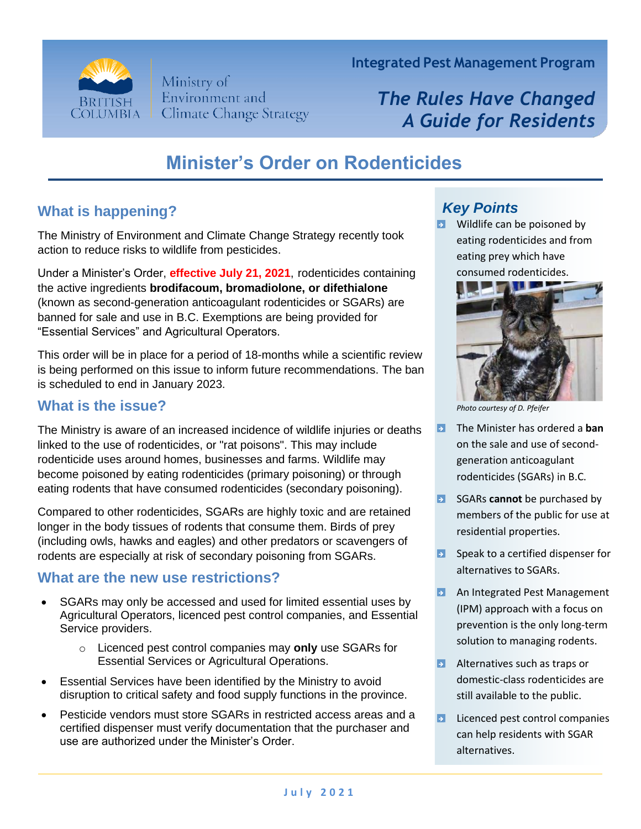

Ministry of Environment and **Climate Change Strategy**  **Integrated Pest Management Program**

# *The Rules Have Changed A Guide for Residents*

## **Minister's Order on Rodenticides**

### **What is happening?**

The Ministry of Environment and Climate Change Strategy recently took action to reduce risks to wildlife from pesticides.

Under a Minister's Order, **effective July 21, 2021**, rodenticides containing the active ingredients **brodifacoum, bromadiolone, or difethialone** (known as second-generation anticoagulant rodenticides or SGARs) are banned for sale and use in B.C. Exemptions are being provided for "Essential Services" and Agricultural Operators.

This order will be in place for a period of 18-months while a scientific review is being performed on this issue to inform future recommendations. The ban is scheduled to end in January 2023.

#### **What is the issue?**

The Ministry is aware of an increased incidence of wildlife injuries or deaths linked to the use of rodenticides, or "rat poisons". This may include rodenticide uses around homes, businesses and farms. Wildlife may become poisoned by eating rodenticides (primary poisoning) or through eating rodents that have consumed rodenticides (secondary poisoning).

Compared to other rodenticides, SGARs are highly toxic and are retained longer in the body tissues of rodents that consume them. Birds of prey (including owls, hawks and eagles) and other predators or scavengers of rodents are especially at risk of secondary poisoning from SGARs.

#### **What are the new use restrictions?**

- SGARs may only be accessed and used for limited essential uses by Agricultural Operators, licenced pest control companies, and Essential Service providers.
	- o Licenced pest control companies may **only** use SGARs for Essential Services or Agricultural Operations.
- Essential Services have been identified by the Ministry to avoid disruption to critical safety and food supply functions in the province.
- Pesticide vendors must store SGARs in restricted access areas and a certified dispenser must verify documentation that the purchaser and use are authorized under the Minister's Order.

## *Key Points*

**B** Wildlife can be poisoned by eating rodenticides and from eating prey which have consumed rodenticides.



*Photo courtesy of D. Pfeifer*

- The Minister has ordered a **ban** on the sale and use of secondgeneration anticoagulant rodenticides (SGARs) in B.C.
- **B** SGARs **cannot** be purchased by members of the public for use at residential properties.
- $\blacktriangleright$  Speak to a certified dispenser for alternatives to SGARs.
- **B** An Integrated Pest Management (IPM) approach with a focus on prevention is the only long-term solution to managing rodents.
- **B** Alternatives such as traps or domestic-class rodenticides are still available to the public.
- **E** Licenced pest control companies can help residents with SGAR alternatives.